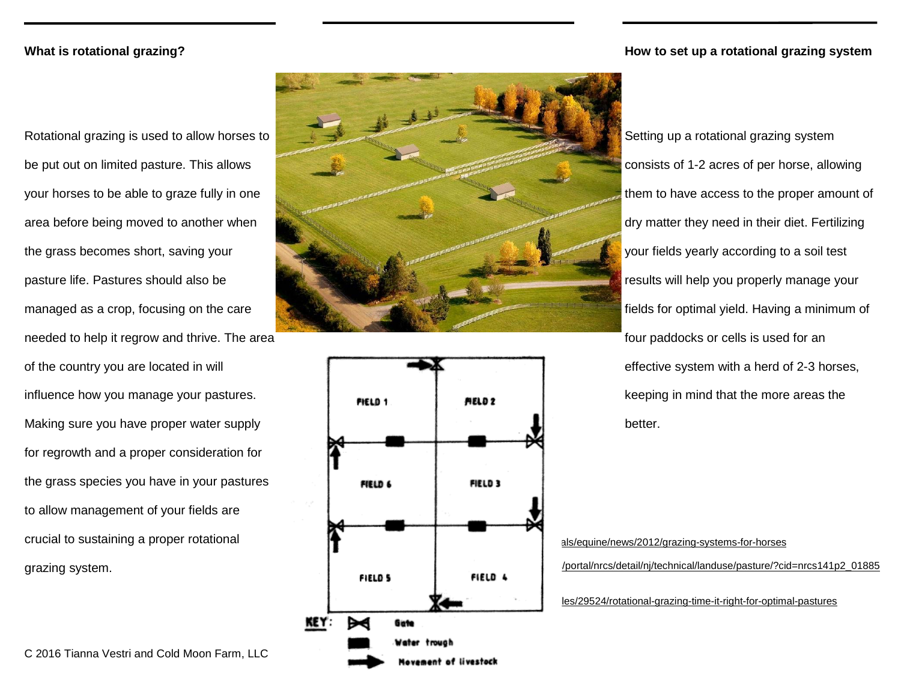## **What is rotational grazing?**

Rotational grazing is used to allow horses to be put out on limited pasture. This allows your horses to be able to graze fully in one area before being moved to another when the grass becomes short, saving your pasture life. Pastures should also be managed as a crop, focusing on the care needed to help it regrow and thrive. The area of the country you are located in will influence how you manage your pastures. Making sure you have proper water supply for regrowth and a proper consideration for the grass species you have in your pastures to allow management of your fields are crucial to sustaining a proper rotational grazing system.





## **How to set up a rotational grazing system**

Setting up a rotational grazing system consists of 1-2 acres of per horse, allowing them to have access to the proper amount of dry matter they need in their diet. Fertilizing your fields yearly according to a soil test results will help you properly manage your fields for optimal yield. Having a minimum of four paddocks or cells is used for an effective system with a herd of 2-3 horses, keeping in mind that the more areas the better.

als/equine/news/2012/grazing-systems-for-horses http://www.nrcs/detail/nj/technical/landuse/pasture/?cid=nrcs141p2\_01885 les/29524/rotational-grazing-time-it-right-for-optimal-pastures